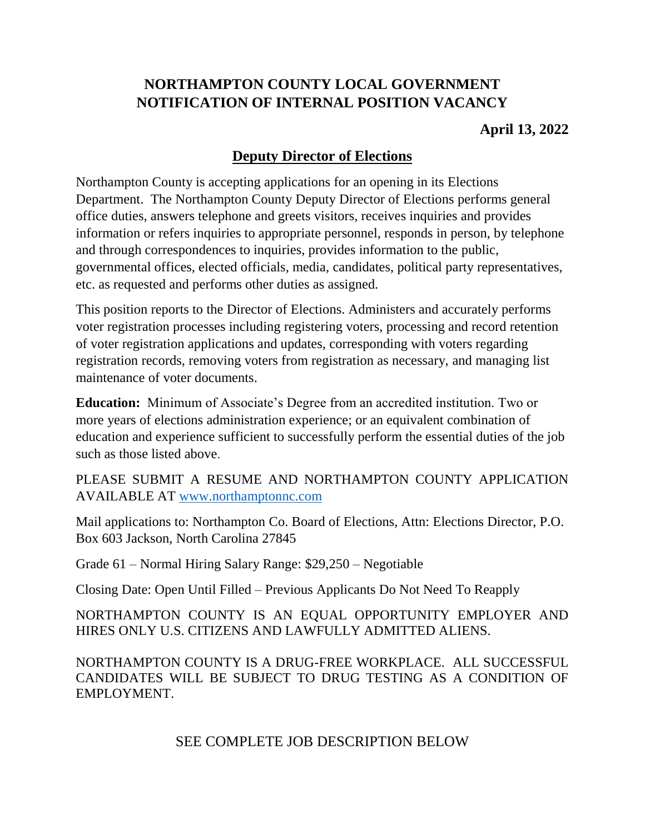# **NORTHAMPTON COUNTY LOCAL GOVERNMENT NOTIFICATION OF INTERNAL POSITION VACANCY**

# **April 13, 2022**

# **Deputy Director of Elections**

Northampton County is accepting applications for an opening in its Elections Department. The Northampton County Deputy Director of Elections performs general office duties, answers telephone and greets visitors, receives inquiries and provides information or refers inquiries to appropriate personnel, responds in person, by telephone and through correspondences to inquiries, provides information to the public, governmental offices, elected officials, media, candidates, political party representatives, etc. as requested and performs other duties as assigned.

This position reports to the Director of Elections. Administers and accurately performs voter registration processes including registering voters, processing and record retention of voter registration applications and updates, corresponding with voters regarding registration records, removing voters from registration as necessary, and managing list maintenance of voter documents.

**Education:** Minimum of Associate's Degree from an accredited institution. Two or more years of elections administration experience; or an equivalent combination of education and experience sufficient to successfully perform the essential duties of the job such as those listed above.

PLEASE SUBMIT A RESUME AND NORTHAMPTON COUNTY APPLICATION AVAILABLE AT [www.northamptonnc.com](http://www.northamptonnc.com/)

Mail applications to: Northampton Co. Board of Elections, Attn: Elections Director, P.O. Box 603 Jackson, North Carolina 27845

Grade 61 – Normal Hiring Salary Range: \$29,250 – Negotiable

Closing Date: Open Until Filled – Previous Applicants Do Not Need To Reapply

NORTHAMPTON COUNTY IS AN EQUAL OPPORTUNITY EMPLOYER AND HIRES ONLY U.S. CITIZENS AND LAWFULLY ADMITTED ALIENS.

NORTHAMPTON COUNTY IS A DRUG-FREE WORKPLACE. ALL SUCCESSFUL CANDIDATES WILL BE SUBJECT TO DRUG TESTING AS A CONDITION OF EMPLOYMENT.

SEE COMPLETE JOB DESCRIPTION BELOW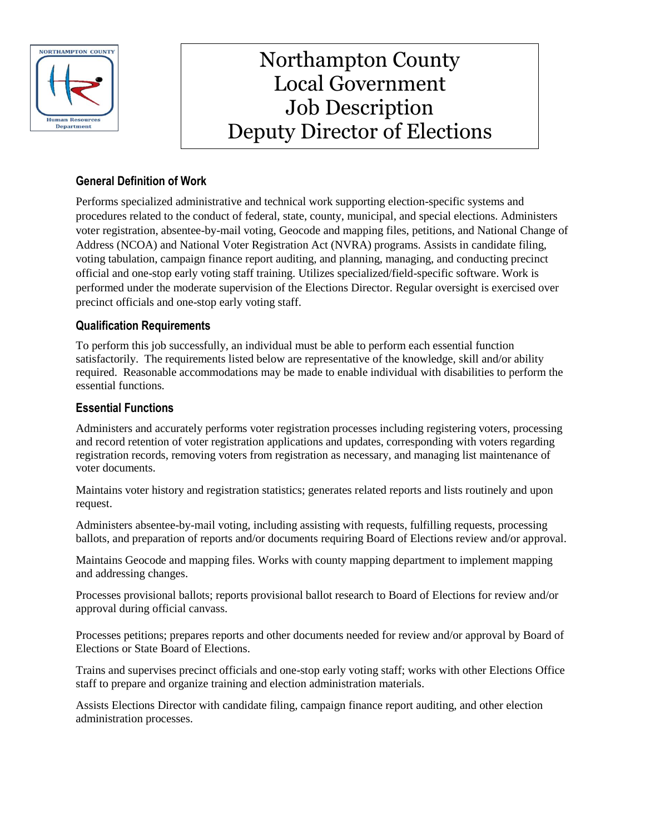

# Job Description Northampton County Local Government Deputy Director of Elections

## **General Definition of Work**

Performs specialized administrative and technical work supporting election-specific systems and procedures related to the conduct of federal, state, county, municipal, and special elections. Administers voter registration, absentee-by-mail voting, Geocode and mapping files, petitions, and National Change of Address (NCOA) and National Voter Registration Act (NVRA) programs. Assists in candidate filing, voting tabulation, campaign finance report auditing, and planning, managing, and conducting precinct official and one-stop early voting staff training. Utilizes specialized/field-specific software. Work is performed under the moderate supervision of the Elections Director. Regular oversight is exercised over precinct officials and one-stop early voting staff.

## **Qualification Requirements**

To perform this job successfully, an individual must be able to perform each essential function satisfactorily. The requirements listed below are representative of the knowledge, skill and/or ability required. Reasonable accommodations may be made to enable individual with disabilities to perform the essential functions*.*

## **Essential Functions**

Administers and accurately performs voter registration processes including registering voters, processing and record retention of voter registration applications and updates, corresponding with voters regarding registration records, removing voters from registration as necessary, and managing list maintenance of voter documents.

Maintains voter history and registration statistics; generates related reports and lists routinely and upon request.

Administers absentee-by-mail voting, including assisting with requests, fulfilling requests, processing ballots, and preparation of reports and/or documents requiring Board of Elections review and/or approval.

Maintains Geocode and mapping files. Works with county mapping department to implement mapping and addressing changes.

Processes provisional ballots; reports provisional ballot research to Board of Elections for review and/or approval during official canvass.

Processes petitions; prepares reports and other documents needed for review and/or approval by Board of Elections or State Board of Elections.

Trains and supervises precinct officials and one-stop early voting staff; works with other Elections Office staff to prepare and organize training and election administration materials.

Assists Elections Director with candidate filing, campaign finance report auditing, and other election administration processes.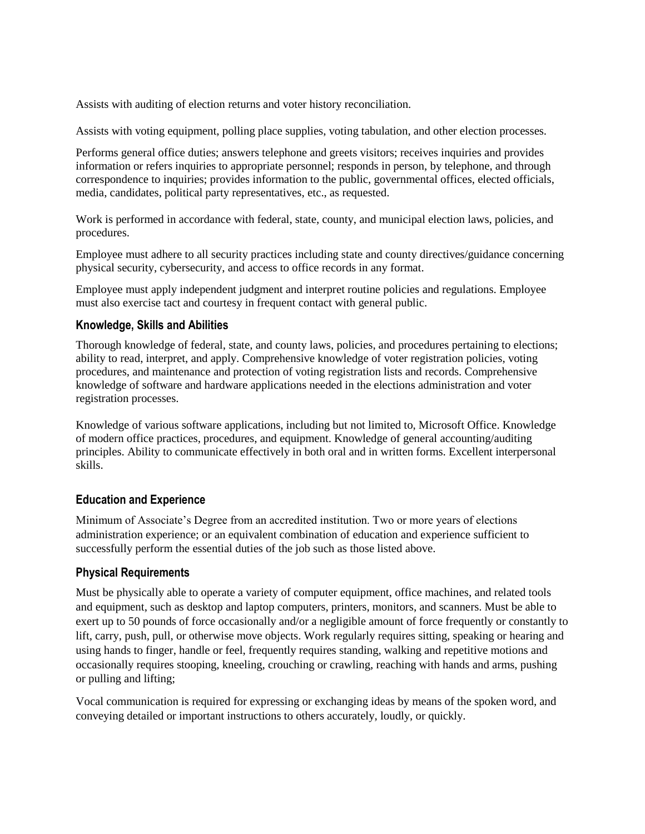Assists with auditing of election returns and voter history reconciliation.

Assists with voting equipment, polling place supplies, voting tabulation, and other election processes.

Performs general office duties; answers telephone and greets visitors; receives inquiries and provides information or refers inquiries to appropriate personnel; responds in person, by telephone, and through correspondence to inquiries; provides information to the public, governmental offices, elected officials, media, candidates, political party representatives, etc., as requested.

Work is performed in accordance with federal, state, county, and municipal election laws, policies, and procedures.

Employee must adhere to all security practices including state and county directives/guidance concerning physical security, cybersecurity, and access to office records in any format.

Employee must apply independent judgment and interpret routine policies and regulations. Employee must also exercise tact and courtesy in frequent contact with general public.

#### **Knowledge, Skills and Abilities**

Thorough knowledge of federal, state, and county laws, policies, and procedures pertaining to elections; ability to read, interpret, and apply. Comprehensive knowledge of voter registration policies, voting procedures, and maintenance and protection of voting registration lists and records. Comprehensive knowledge of software and hardware applications needed in the elections administration and voter registration processes.

Knowledge of various software applications, including but not limited to, Microsoft Office. Knowledge of modern office practices, procedures, and equipment. Knowledge of general accounting/auditing principles. Ability to communicate effectively in both oral and in written forms. Excellent interpersonal skills.

#### **Education and Experience**

Minimum of Associate's Degree from an accredited institution. Two or more years of elections administration experience; or an equivalent combination of education and experience sufficient to successfully perform the essential duties of the job such as those listed above.

#### **Physical Requirements**

Must be physically able to operate a variety of computer equipment, office machines, and related tools and equipment, such as desktop and laptop computers, printers, monitors, and scanners. Must be able to exert up to 50 pounds of force occasionally and/or a negligible amount of force frequently or constantly to lift, carry, push, pull, or otherwise move objects. Work regularly requires sitting, speaking or hearing and using hands to finger, handle or feel, frequently requires standing, walking and repetitive motions and occasionally requires stooping, kneeling, crouching or crawling, reaching with hands and arms, pushing or pulling and lifting;

Vocal communication is required for expressing or exchanging ideas by means of the spoken word, and conveying detailed or important instructions to others accurately, loudly, or quickly.